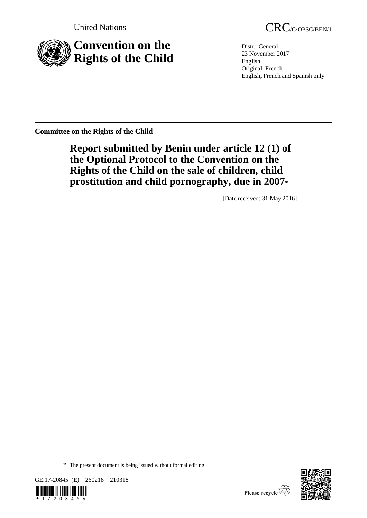

United Nations CRC/C/OPSC/BEN/1

Distr.: General 23 November 2017 English Original: French English, French and Spanish only

**Committee on the Rights of the Child**

# **Report submitted by Benin under article 12 (1) of the Optional Protocol to the Convention on the Rights of the Child on the sale of children, child prostitution and child pornography, due in 2007**\*

[Date received: 31 May 2016]

<sup>\*</sup> The present document is being issued without formal editing.





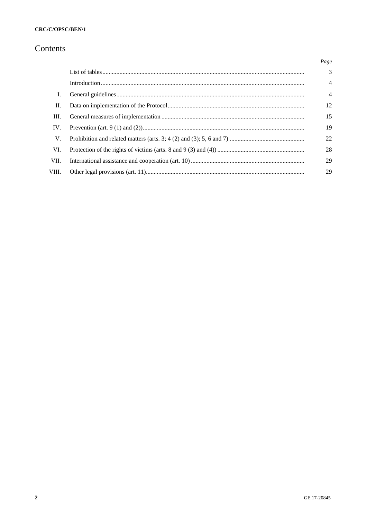# Contents

|       | Page           |
|-------|----------------|
|       | $\mathcal{E}$  |
|       | $\overline{4}$ |
| L.    | $\overline{4}$ |
| H.    | 12             |
| III.  | 15             |
| IV.   | 19             |
| V.    | 22             |
| VI.   | 28             |
| VII.  | 29             |
| VIII. | 29             |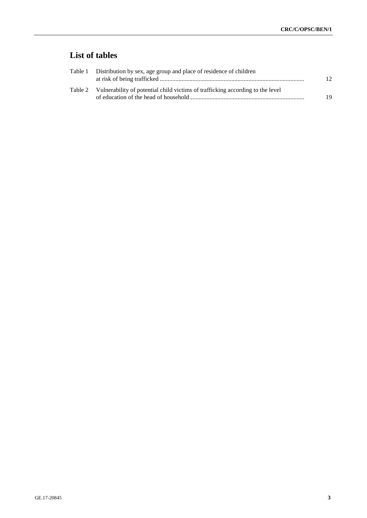# **List of tables**

| Table 1 Distribution by sex, age group and place of residence of children              | 12 |
|----------------------------------------------------------------------------------------|----|
| Table 2 Vulnerability of potential child victims of trafficking according to the level | 19 |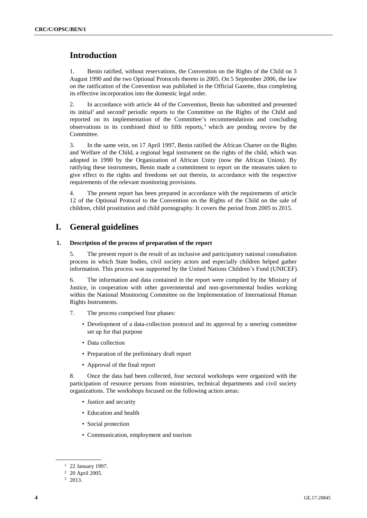# **Introduction**

1. Benin ratified, without reservations, the Convention on the Rights of the Child on 3 August 1990 and the two Optional Protocols thereto in 2005. On 5 September 2006, the law on the ratification of the Convention was published in the Official Gazette, thus completing its effective incorporation into the domestic legal order.

2. In accordance with article 44 of the Convention, Benin has submitted and presented its initial<sup>1</sup> and second<sup>2</sup> periodic reports to the Committee on the Rights of the Child and reported on its implementation of the Committee's recommendations and concluding observations in its combined third to fifth reports, <sup>3</sup> which are pending review by the Committee.

3. In the same vein, on 17 April 1997, Benin ratified the African Charter on the Rights and Welfare of the Child, a regional legal instrument on the rights of the child, which was adopted in 1990 by the Organization of African Unity (now the African Union). By ratifying these instruments, Benin made a commitment to report on the measures taken to give effect to the rights and freedoms set out therein, in accordance with the respective requirements of the relevant monitoring provisions.

4. The present report has been prepared in accordance with the requirements of article 12 of the Optional Protocol to the Convention on the Rights of the Child on the sale of children, child prostitution and child pornography. It covers the period from 2005 to 2015.

# **I. General guidelines**

# **1. Description of the process of preparation of the report**

5. The present report is the result of an inclusive and participatory national consultation process in which State bodies, civil society actors and especially children helped gather information. This process was supported by the United Nations Children's Fund (UNICEF).

6. The information and data contained in the report were compiled by the Ministry of Justice, in cooperation with other governmental and non-governmental bodies working within the National Monitoring Committee on the Implementation of International Human Rights Instruments.

- 7. The process comprised four phases:
	- Development of a data-collection protocol and its approval by a steering committee set up for that purpose
	- Data collection
	- Preparation of the preliminary draft report
	- Approval of the final report

8. Once the data had been collected, four sectoral workshops were organized with the participation of resource persons from ministries, technical departments and civil society organizations. The workshops focused on the following action areas:

- Justice and security
- Education and health
- Social protection
- Communication, employment and tourism

<sup>&</sup>lt;sup>1</sup> 22 January 1997.

<sup>2</sup> 20 April 2005.

 $3\quad 2013.$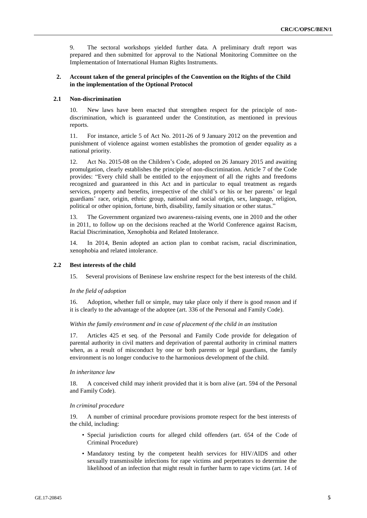9. The sectoral workshops yielded further data. A preliminary draft report was prepared and then submitted for approval to the National Monitoring Committee on the Implementation of International Human Rights Instruments.

# **2. Account taken of the general principles of the Convention on the Rights of the Child in the implementation of the Optional Protocol**

#### **2.1 Non-discrimination**

10. New laws have been enacted that strengthen respect for the principle of nondiscrimination, which is guaranteed under the Constitution, as mentioned in previous reports.

11. For instance, article 5 of Act No. 2011-26 of 9 January 2012 on the prevention and punishment of violence against women establishes the promotion of gender equality as a national priority.

12. Act No. 2015-08 on the Children's Code, adopted on 26 January 2015 and awaiting promulgation, clearly establishes the principle of non-discrimination. Article 7 of the Code provides: "Every child shall be entitled to the enjoyment of all the rights and freedoms recognized and guaranteed in this Act and in particular to equal treatment as regards services, property and benefits, irrespective of the child's or his or her parents' or legal guardians' race, origin, ethnic group, national and social origin, sex, language, religion, political or other opinion, fortune, birth, disability, family situation or other status."

13. The Government organized two awareness-raising events, one in 2010 and the other in 2011, to follow up on the decisions reached at the World Conference against Racism, Racial Discrimination, Xenophobia and Related Intolerance.

14. In 2014, Benin adopted an action plan to combat racism, racial discrimination, xenophobia and related intolerance.

#### **2.2 Best interests of the child**

15. Several provisions of Beninese law enshrine respect for the best interests of the child.

#### *In the field of adoption*

16. Adoption, whether full or simple, may take place only if there is good reason and if it is clearly to the advantage of the adoptee (art. 336 of the Personal and Family Code).

#### *Within the family environment and in case of placement of the child in an institution*

17. Articles 425 et seq. of the Personal and Family Code provide for delegation of parental authority in civil matters and deprivation of parental authority in criminal matters when, as a result of misconduct by one or both parents or legal guardians, the family environment is no longer conducive to the harmonious development of the child.

#### *In inheritance law*

18. A conceived child may inherit provided that it is born alive (art. 594 of the Personal and Family Code).

#### *In criminal procedure*

19. A number of criminal procedure provisions promote respect for the best interests of the child, including:

- Special jurisdiction courts for alleged child offenders (art. 654 of the Code of Criminal Procedure)
- Mandatory testing by the competent health services for HIV/AIDS and other sexually transmissible infections for rape victims and perpetrators to determine the likelihood of an infection that might result in further harm to rape victims (art. 14 of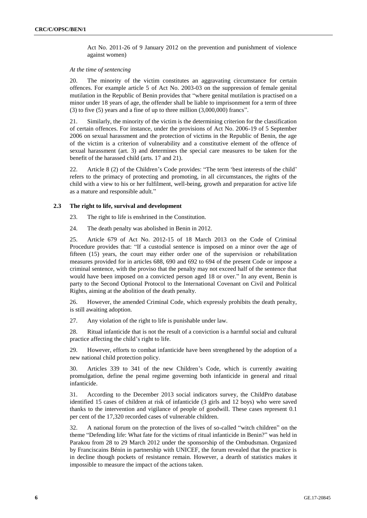Act No. 2011-26 of 9 January 2012 on the prevention and punishment of violence against women)

#### *At the time of sentencing*

20. The minority of the victim constitutes an aggravating circumstance for certain offences. For example article 5 of Act No. 2003-03 on the suppression of female genital mutilation in the Republic of Benin provides that "where genital mutilation is practised on a minor under 18 years of age, the offender shall be liable to imprisonment for a term of three (3) to five (5) years and a fine of up to three million (3,000,000) francs".

21. Similarly, the minority of the victim is the determining criterion for the classification of certain offences. For instance, under the provisions of Act No. 2006-19 of 5 September 2006 on sexual harassment and the protection of victims in the Republic of Benin, the age of the victim is a criterion of vulnerability and a constitutive element of the offence of sexual harassment (art. 3) and determines the special care measures to be taken for the benefit of the harassed child (arts. 17 and 21).

22. Article 8 (2) of the Children's Code provides: "The term 'best interests of the child' refers to the primacy of protecting and promoting, in all circumstances, the rights of the child with a view to his or her fulfilment, well-being, growth and preparation for active life as a mature and responsible adult."

### **2.3 The right to life, survival and development**

23. The right to life is enshrined in the Constitution.

24. The death penalty was abolished in Benin in 2012.

25. Article 679 of Act No. 2012-15 of 18 March 2013 on the Code of Criminal Procedure provides that: "If a custodial sentence is imposed on a minor over the age of fifteen (15) years, the court may either order one of the supervision or rehabilitation measures provided for in articles 688, 690 and 692 to 694 of the present Code or impose a criminal sentence, with the proviso that the penalty may not exceed half of the sentence that would have been imposed on a convicted person aged 18 or over." In any event, Benin is party to the Second Optional Protocol to the International Covenant on Civil and Political Rights, aiming at the abolition of the death penalty.

26. However, the amended Criminal Code, which expressly prohibits the death penalty, is still awaiting adoption.

27. Any violation of the right to life is punishable under law.

28. Ritual infanticide that is not the result of a conviction is a harmful social and cultural practice affecting the child's right to life.

29. However, efforts to combat infanticide have been strengthened by the adoption of a new national child protection policy.

30. Articles 339 to 341 of the new Children's Code, which is currently awaiting promulgation, define the penal regime governing both infanticide in general and ritual infanticide.

31. According to the December 2013 social indicators survey, the ChildPro database identified 15 cases of children at risk of infanticide (3 girls and 12 boys) who were saved thanks to the intervention and vigilance of people of goodwill. These cases represent 0.1 per cent of the 17,320 recorded cases of vulnerable children.

32. A national forum on the protection of the lives of so-called "witch children" on the theme "Defending life: What fate for the victims of ritual infanticide in Benin?" was held in Parakou from 28 to 29 March 2012 under the sponsorship of the Ombudsman. Organized by Franciscains Bénin in partnership with UNICEF, the forum revealed that the practice is in decline though pockets of resistance remain. However, a dearth of statistics makes it impossible to measure the impact of the actions taken.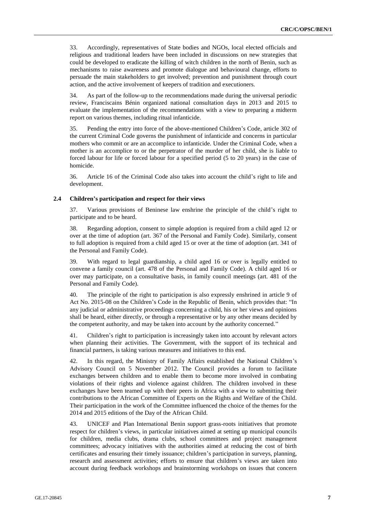33. Accordingly, representatives of State bodies and NGOs, local elected officials and religious and traditional leaders have been included in discussions on new strategies that could be developed to eradicate the killing of witch children in the north of Benin, such as mechanisms to raise awareness and promote dialogue and behavioural change, efforts to persuade the main stakeholders to get involved; prevention and punishment through court action, and the active involvement of keepers of tradition and executioners.

34. As part of the follow-up to the recommendations made during the universal periodic review, Franciscains Bénin organized national consultation days in 2013 and 2015 to evaluate the implementation of the recommendations with a view to preparing a midterm report on various themes, including ritual infanticide.

35. Pending the entry into force of the above-mentioned Children's Code, article 302 of the current Criminal Code governs the punishment of infanticide and concerns in particular mothers who commit or are an accomplice to infanticide. Under the Criminal Code, when a mother is an accomplice to or the perpetrator of the murder of her child, she is liable to forced labour for life or forced labour for a specified period (5 to 20 years) in the case of homicide.

36. Article 16 of the Criminal Code also takes into account the child's right to life and development.

### **2.4 Children's participation and respect for their views**

37. Various provisions of Beninese law enshrine the principle of the child's right to participate and to be heard.

38. Regarding adoption, consent to simple adoption is required from a child aged 12 or over at the time of adoption (art. 367 of the Personal and Family Code). Similarly, consent to full adoption is required from a child aged 15 or over at the time of adoption (art. 341 of the Personal and Family Code).

39. With regard to legal guardianship, a child aged 16 or over is legally entitled to convene a family council (art. 478 of the Personal and Family Code). A child aged 16 or over may participate, on a consultative basis, in family council meetings (art. 481 of the Personal and Family Code).

40. The principle of the right to participation is also expressly enshrined in article 9 of Act No. 2015-08 on the Children's Code in the Republic of Benin, which provides that: "In any judicial or administrative proceedings concerning a child, his or her views and opinions shall be heard, either directly, or through a representative or by any other means decided by the competent authority, and may be taken into account by the authority concerned."

41. Children's right to participation is increasingly taken into account by relevant actors when planning their activities. The Government, with the support of its technical and financial partners, is taking various measures and initiatives to this end.

42. In this regard, the Ministry of Family Affairs established the National Children's Advisory Council on 5 November 2012. The Council provides a forum to facilitate exchanges between children and to enable them to become more involved in combating violations of their rights and violence against children. The children involved in these exchanges have been teamed up with their peers in Africa with a view to submitting their contributions to the African Committee of Experts on the Rights and Welfare of the Child. Their participation in the work of the Committee influenced the choice of the themes for the 2014 and 2015 editions of the Day of the African Child.

43. UNICEF and Plan International Benin support grass-roots initiatives that promote respect for children's views, in particular initiatives aimed at setting up municipal councils for children, media clubs, drama clubs, school committees and project management committees; advocacy initiatives with the authorities aimed at reducing the cost of birth certificates and ensuring their timely issuance; children's participation in surveys, planning, research and assessment activities; efforts to ensure that children's views are taken into account during feedback workshops and brainstorming workshops on issues that concern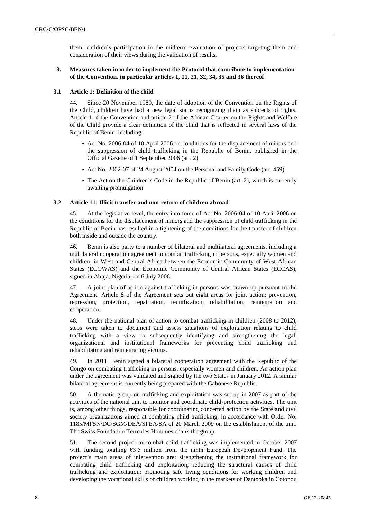them; children's participation in the midterm evaluation of projects targeting them and consideration of their views during the validation of results.

# **3. Measures taken in order to implement the Protocol that contribute to implementation of the Convention, in particular articles 1, 11, 21, 32, 34, 35 and 36 thereof**

## **3.1 Article 1: Definition of the child**

44. Since 20 November 1989, the date of adoption of the Convention on the Rights of the Child, children have had a new legal status recognizing them as subjects of rights. Article 1 of the Convention and article 2 of the African Charter on the Rights and Welfare of the Child provide a clear definition of the child that is reflected in several laws of the Republic of Benin, including:

- Act No. 2006-04 of 10 April 2006 on conditions for the displacement of minors and the suppression of child trafficking in the Republic of Benin, published in the Official Gazette of 1 September 2006 (art. 2)
- Act No. 2002-07 of 24 August 2004 on the Personal and Family Code (art. 459)
- The Act on the Children's Code in the Republic of Benin (art. 2), which is currently awaiting promulgation

### **3.2 Article 11: Illicit transfer and non-return of children abroad**

45. At the legislative level, the entry into force of Act No. 2006-04 of 10 April 2006 on the conditions for the displacement of minors and the suppression of child trafficking in the Republic of Benin has resulted in a tightening of the conditions for the transfer of children both inside and outside the country.

46. Benin is also party to a number of bilateral and multilateral agreements, including a multilateral cooperation agreement to combat trafficking in persons, especially women and children, in West and Central Africa between the Economic Community of West African States (ECOWAS) and the Economic Community of Central African States (ECCAS), signed in Abuja, Nigeria, on 6 July 2006.

47. A joint plan of action against trafficking in persons was drawn up pursuant to the Agreement. Article 8 of the Agreement sets out eight areas for joint action: prevention, repression, protection, repatriation, reunification, rehabilitation, reintegration and cooperation.

48. Under the national plan of action to combat trafficking in children (2008 to 2012), steps were taken to document and assess situations of exploitation relating to child trafficking with a view to subsequently identifying and strengthening the legal, organizational and institutional frameworks for preventing child trafficking and rehabilitating and reintegrating victims.

49. In 2011, Benin signed a bilateral cooperation agreement with the Republic of the Congo on combating trafficking in persons, especially women and children. An action plan under the agreement was validated and signed by the two States in January 2012. A similar bilateral agreement is currently being prepared with the Gabonese Republic.

50. A thematic group on trafficking and exploitation was set up in 2007 as part of the activities of the national unit to monitor and coordinate child-protection activities. The unit is, among other things, responsible for coordinating concerted action by the State and civil society organizations aimed at combating child trafficking, in accordance with Order No. 1185/MFSN/DC/SGM/DEA/SPEA/SA of 20 March 2009 on the establishment of the unit. The Swiss Foundation Terre des Hommes chairs the group.

51. The second project to combat child trafficking was implemented in October 2007 with funding totalling €3.5 million from the ninth European Development Fund. The project's main areas of intervention are: strengthening the institutional framework for combating child trafficking and exploitation; reducing the structural causes of child trafficking and exploitation; promoting safe living conditions for working children and developing the vocational skills of children working in the markets of Dantopka in Cotonou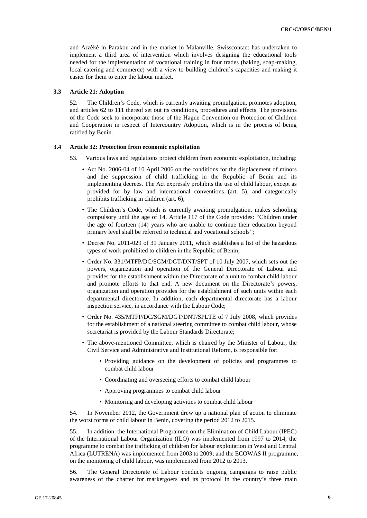and Arzèkè in Parakou and in the market in Malanville. Swisscontact has undertaken to implement a third area of intervention which involves designing the educational tools needed for the implementation of vocational training in four trades (baking, soap-making, local catering and commerce) with a view to building children's capacities and making it easier for them to enter the labour market.

## **3.3 Article 21: Adoption**

52. The Children's Code, which is currently awaiting promulgation, promotes adoption, and articles 62 to 111 thereof set out its conditions, procedures and effects. The provisions of the Code seek to incorporate those of the Hague Convention on Protection of Children and Cooperation in respect of Intercountry Adoption, which is in the process of being ratified by Benin.

#### **3.4 Article 32: Protection from economic exploitation**

- 53. Various laws and regulations protect children from economic exploitation, including:
	- Act No. 2006-04 of 10 April 2006 on the conditions for the displacement of minors and the suppression of child trafficking in the Republic of Benin and its implementing decrees. The Act expressly prohibits the use of child labour, except as provided for by law and international conventions (art. 5), and categorically prohibits trafficking in children (art. 6);
	- The Children's Code, which is currently awaiting promulgation, makes schooling compulsory until the age of 14. Article 117 of the Code provides: "Children under the age of fourteen (14) years who are unable to continue their education beyond primary level shall be referred to technical and vocational schools";
	- Decree No. 2011-029 of 31 January 2011, which establishes a list of the hazardous types of work prohibited to children in the Republic of Benin;
	- Order No. 331/MTFP/DC/SGM/DGT/DNT/SPT of 10 July 2007, which sets out the powers, organization and operation of the General Directorate of Labour and provides for the establishment within the Directorate of a unit to combat child labour and promote efforts to that end. A new document on the Directorate's powers, organization and operation provides for the establishment of such units within each departmental directorate. In addition, each departmental directorate has a labour inspection service, in accordance with the Labour Code;
	- Order No. 435/MTFP/DC/SGM/DGT/DNT/SPLTE of 7 July 2008, which provides for the establishment of a national steering committee to combat child labour, whose secretariat is provided by the Labour Standards Directorate;
	- The above-mentioned Committee, which is chaired by the Minister of Labour, the Civil Service and Administrative and Institutional Reform, is responsible for:
		- Providing guidance on the development of policies and programmes to combat child labour
		- Coordinating and overseeing efforts to combat child labour
		- Approving programmes to combat child labour
		- Monitoring and developing activities to combat child labour

54. In November 2012, the Government drew up a national plan of action to eliminate the worst forms of child labour in Benin, covering the period 2012 to 2015.

55. In addition, the International Programme on the Elimination of Child Labour (IPEC) of the International Labour Organization (ILO) was implemented from 1997 to 2014; the programme to combat the trafficking of children for labour exploitation in West and Central Africa (LUTRENA) was implemented from 2003 to 2009; and the ECOWAS II programme, on the monitoring of child labour, was implemented from 2012 to 2013.

56. The General Directorate of Labour conducts ongoing campaigns to raise public awareness of the charter for marketgoers and its protocol in the country's three main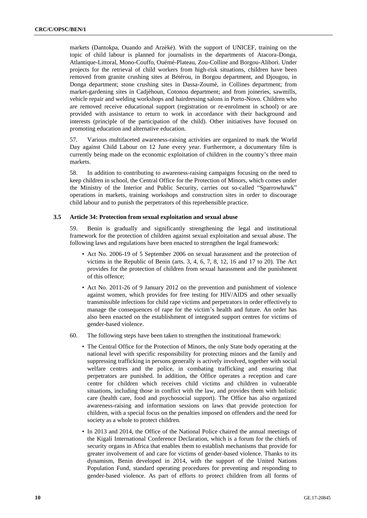markets (Dantokpa, Ouando and Arzèkè). With the support of UNICEF, training on the topic of child labour is planned for journalists in the departments of Atacora-Donga, Atlantique-Littoral, Mono-Couffo, Ouémé-Plateau, Zou-Colline and Borgou-Alibori. Under projects for the retrieval of child workers from high-risk situations, children have been removed from granite crushing sites at Bétérou, in Borgou department, and Djougou, in Donga department; stone crushing sites in Dassa-Zoumè, in Collines department; from market-gardening sites in Cadjèhoun, Cotonou department; and from joineries, sawmills, vehicle repair and welding workshops and hairdressing salons in Porto-Novo. Children who are removed receive educational support (registration or re-enrolment in school) or are provided with assistance to return to work in accordance with their background and interests (principle of the participation of the child). Other initiatives have focused on promoting education and alternative education.

57. Various multifaceted awareness-raising activities are organized to mark the World Day against Child Labour on 12 June every year. Furthermore, a documentary film is currently being made on the economic exploitation of children in the country's three main markets.

58. In addition to contributing to awareness-raising campaigns focusing on the need to keep children in school, the Central Office for the Protection of Minors, which comes under the Ministry of the Interior and Public Security, carries out so-called "Sparrowhawk" operations in markets, training workshops and construction sites in order to discourage child labour and to punish the perpetrators of this reprehensible practice.

#### **3.5 Article 34: Protection from sexual exploitation and sexual abuse**

59. Benin is gradually and significantly strengthening the legal and institutional framework for the protection of children against sexual exploitation and sexual abuse. The following laws and regulations have been enacted to strengthen the legal framework:

- Act No. 2006-19 of 5 September 2006 on sexual harassment and the protection of victims in the Republic of Benin (arts. 3, 4, 6, 7, 8, 12, 16 and 17 to 20). The Act provides for the protection of children from sexual harassment and the punishment of this offence;
- Act No. 2011-26 of 9 January 2012 on the prevention and punishment of violence against women, which provides for free testing for HIV/AIDS and other sexually transmissible infections for child rape victims and perpetrators in order effectively to manage the consequences of rape for the victim's health and future. An order has also been enacted on the establishment of integrated support centres for victims of gender-based violence.
- 60. The following steps have been taken to strengthen the institutional framework:
	- The Central Office for the Protection of Minors, the only State body operating at the national level with specific responsibility for protecting minors and the family and suppressing trafficking in persons generally is actively involved, together with social welfare centres and the police, in combating trafficking and ensuring that perpetrators are punished. In addition, the Office operates a reception and care centre for children which receives child victims and children in vulnerable situations, including those in conflict with the law, and provides them with holistic care (health care, food and psychosocial support). The Office has also organized awareness-raising and information sessions on laws that provide protection for children, with a special focus on the penalties imposed on offenders and the need for society as a whole to protect children.
	- In 2013 and 2014, the Office of the National Police chaired the annual meetings of the Kigali International Conference Declaration, which is a forum for the chiefs of security organs in Africa that enables them to establish mechanisms that provide for greater involvement of and care for victims of gender-based violence. Thanks to its dynamism, Benin developed in 2014, with the support of the United Nations Population Fund, standard operating procedures for preventing and responding to gender-based violence. As part of efforts to protect children from all forms of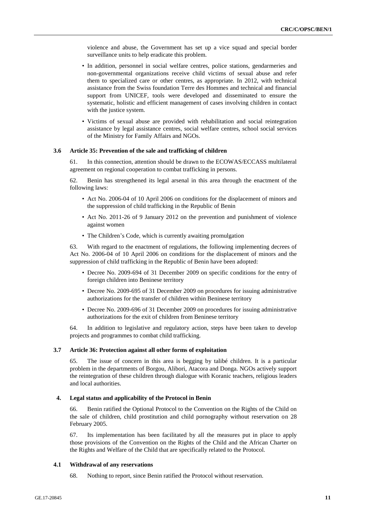violence and abuse, the Government has set up a vice squad and special border surveillance units to help eradicate this problem.

- In addition, personnel in social welfare centres, police stations, gendarmeries and non-governmental organizations receive child victims of sexual abuse and refer them to specialized care or other centres, as appropriate. In 2012, with technical assistance from the Swiss foundation Terre des Hommes and technical and financial support from UNICEF, tools were developed and disseminated to ensure the systematic, holistic and efficient management of cases involving children in contact with the justice system.
- Victims of sexual abuse are provided with rehabilitation and social reintegration assistance by legal assistance centres, social welfare centres, school social services of the Ministry for Family Affairs and NGOs.

## **3.6 Article 35: Prevention of the sale and trafficking of children**

61. In this connection, attention should be drawn to the ECOWAS/ECCASS multilateral agreement on regional cooperation to combat trafficking in persons.

62. Benin has strengthened its legal arsenal in this area through the enactment of the following laws:

- Act No. 2006-04 of 10 April 2006 on conditions for the displacement of minors and the suppression of child trafficking in the Republic of Benin
- Act No. 2011-26 of 9 January 2012 on the prevention and punishment of violence against women
- The Children's Code, which is currently awaiting promulgation

63. With regard to the enactment of regulations, the following implementing decrees of Act No. 2006-04 of 10 April 2006 on conditions for the displacement of minors and the suppression of child trafficking in the Republic of Benin have been adopted:

- Decree No. 2009-694 of 31 December 2009 on specific conditions for the entry of foreign children into Beninese territory
- Decree No. 2009-695 of 31 December 2009 on procedures for issuing administrative authorizations for the transfer of children within Beninese territory
- Decree No. 2009-696 of 31 December 2009 on procedures for issuing administrative authorizations for the exit of children from Beninese territory

64. In addition to legislative and regulatory action, steps have been taken to develop projects and programmes to combat child trafficking.

#### **3.7 Article 36: Protection against all other forms of exploitation**

65. The issue of concern in this area is begging by talibé children. It is a particular problem in the departments of Borgou, Alibori, Atacora and Donga. NGOs actively support the reintegration of these children through dialogue with Koranic teachers, religious leaders and local authorities.

#### **4. Legal status and applicability of the Protocol in Benin**

66. Benin ratified the Optional Protocol to the Convention on the Rights of the Child on the sale of children, child prostitution and child pornography without reservation on 28 February 2005.

67. Its implementation has been facilitated by all the measures put in place to apply those provisions of the Convention on the Rights of the Child and the African Charter on the Rights and Welfare of the Child that are specifically related to the Protocol.

#### **4.1 Withdrawal of any reservations**

68. Nothing to report, since Benin ratified the Protocol without reservation.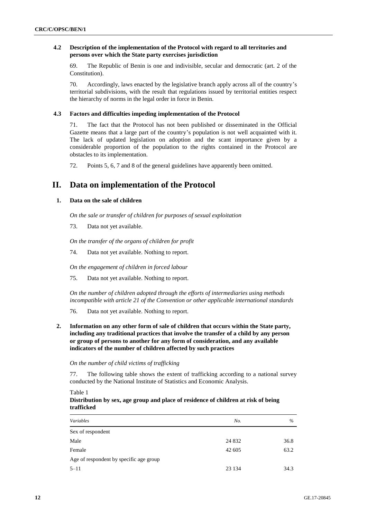## **4.2 Description of the implementation of the Protocol with regard to all territories and persons over which the State party exercises jurisdiction**

69. The Republic of Benin is one and indivisible, secular and democratic (art. 2 of the Constitution).

70. Accordingly, laws enacted by the legislative branch apply across all of the country's territorial subdivisions, with the result that regulations issued by territorial entities respect the hierarchy of norms in the legal order in force in Benin.

#### **4.3 Factors and difficulties impeding implementation of the Protocol**

71. The fact that the Protocol has not been published or disseminated in the Official Gazette means that a large part of the country's population is not well acquainted with it. The lack of updated legislation on adoption and the scant importance given by a considerable proportion of the population to the rights contained in the Protocol are obstacles to its implementation.

72. Points 5, 6, 7 and 8 of the general guidelines have apparently been omitted.

# **II. Data on implementation of the Protocol**

# **1. Data on the sale of children**

*On the sale or transfer of children for purposes of sexual exploitation*

73. Data not yet available.

*On the transfer of the organs of children for profit*

74. Data not yet available. Nothing to report.

*On the engagement of children in forced labour*

75. Data not yet available. Nothing to report.

*On the number of children adopted through the efforts of intermediaries using methods incompatible with article 21 of the Convention or other applicable international standards*

76. Data not yet available. Nothing to report.

**2. Information on any other form of sale of children that occurs within the State party, including any traditional practices that involve the transfer of a child by any person or group of persons to another for any form of consideration, and any available indicators of the number of children affected by such practices**

#### *On the number of child victims of trafficking*

77. The following table shows the extent of trafficking according to a national survey conducted by the National Institute of Statistics and Economic Analysis.

Table 1

# **Distribution by sex, age group and place of residence of children at risk of being trafficked**

| Variables                               | No.     | $\%$ |  |
|-----------------------------------------|---------|------|--|
| Sex of respondent                       |         |      |  |
| Male                                    | 24 8 32 | 36.8 |  |
| Female                                  | 42 605  | 63.2 |  |
| Age of respondent by specific age group |         |      |  |
| $5 - 11$                                | 23 134  | 34.3 |  |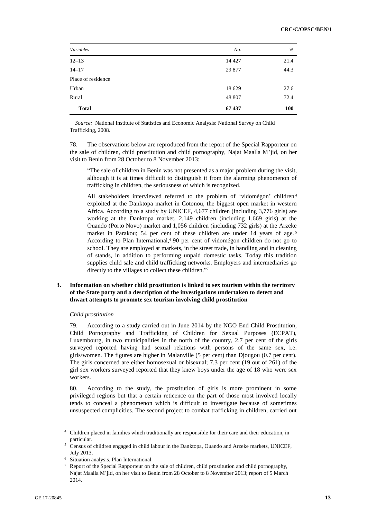| <b>Total</b>       | 67437   | 100  |
|--------------------|---------|------|
| Rural              | 48 807  | 72.4 |
| Urban              | 18 629  | 27.6 |
| Place of residence |         |      |
| $14 - 17$          | 29 877  | 44.3 |
| $12 - 13$          | 14 4 27 | 21.4 |
| Variables          | No.     | $\%$ |

*Source:* National Institute of Statistics and Economic Analysis: National Survey on Child Trafficking, 2008.

78. The observations below are reproduced from the report of the Special Rapporteur on the sale of children, child prostitution and child pornography, Najat Maalla M'jid, on her visit to Benin from 28 October to 8 November 2013:

"The sale of children in Benin was not presented as a major problem during the visit, although it is at times difficult to distinguish it from the alarming phenomenon of trafficking in children, the seriousness of which is recognized.

All stakeholders interviewed referred to the problem of 'vidomégon' children<sup>4</sup> exploited at the Danktopa market in Cotonou, the biggest open market in western Africa. According to a study by UNICEF, 4,677 children (including 3,776 girls) are working at the Danktopa market, 2,149 children (including 1,669 girls) at the Ouando (Porto Novo) market and 1,056 children (including 732 girls) at the Arzeke market in Parakou; 54 per cent of these children are under 14 years of age.<sup>5</sup> According to Plan International,<sup>6</sup> 90 per cent of vidomégon children do not go to school. They are employed at markets, in the street trade, in handling and in cleaning of stands, in addition to performing unpaid domestic tasks. Today this tradition supplies child sale and child trafficking networks. Employers and intermediaries go directly to the villages to collect these children."7

# **3. Information on whether child prostitution is linked to sex tourism within the territory of the State party and a description of the investigations undertaken to detect and thwart attempts to promote sex tourism involving child prostitution**

# *Child prostitution*

79. According to a study carried out in June 2014 by the NGO End Child Prostitution, Child Pornography and Trafficking of Children for Sexual Purposes (ECPAT), Luxembourg, in two municipalities in the north of the country, 2.7 per cent of the girls surveyed reported having had sexual relations with persons of the same sex, i.e. girls/women. The figures are higher in Malanville (5 per cent) than Djougou (0.7 per cent). The girls concerned are either homosexual or bisexual; 7.3 per cent (19 out of 261) of the girl sex workers surveyed reported that they knew boys under the age of 18 who were sex workers.

80. According to the study, the prostitution of girls is more prominent in some privileged regions but that a certain reticence on the part of those most involved locally tends to conceal a phenomenon which is difficult to investigate because of sometimes unsuspected complicities. The second project to combat trafficking in children, carried out

<sup>4</sup> Children placed in families which traditionally are responsible for their care and their education, in particular.

<sup>5</sup> Census of children engaged in child labour in the Danktopa, Ouando and Arzeke markets, UNICEF, July 2013.

<sup>6</sup> Situation analysis, Plan International.

Report of the Special Rapporteur on the sale of children, child prostitution and child pornography, Najat Maalla M'jid, on her visit to Benin from 28 October to 8 November 2013; report of 5 March 2014.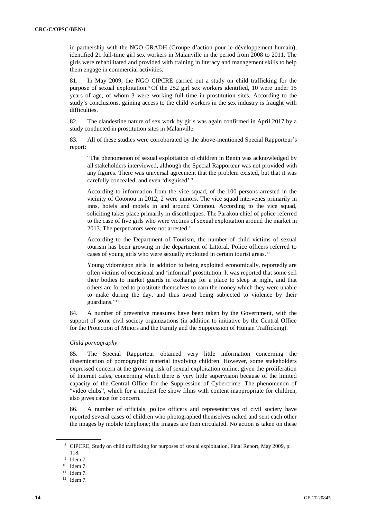in partnership with the NGO GRADH (Groupe d'action pour le développement humain), identified 21 full-time girl sex workers in Malanville in the period from 2008 to 2011. The girls were rehabilitated and provided with training in literacy and management skills to help them engage in commercial activities.

81. In May 2009, the NGO CIPCRE carried out a study on child trafficking for the purpose of sexual exploitation.<sup>8</sup> Of the 252 girl sex workers identified, 10 were under 15 years of age, of whom 3 were working full time in prostitution sites. According to the study's conclusions, gaining access to the child workers in the sex industry is fraught with difficulties.

82. The clandestine nature of sex work by girls was again confirmed in April 2017 by a study conducted in prostitution sites in Malanville.

83. All of these studies were corroborated by the above-mentioned Special Rapporteur's report:

"The phenomenon of sexual exploitation of children in Benin was acknowledged by all stakeholders interviewed, although the Special Rapporteur was not provided with any figures. There was universal agreement that the problem existed, but that it was carefully concealed, and even 'disguised'. 9

According to information from the vice squad, of the 100 persons arrested in the vicinity of Cotonou in 2012, 2 were minors. The vice squad intervenes primarily in inns, hotels and motels in and around Cotonou. According to the vice squad, soliciting takes place primarily in discotheques. The Parakou chief of police referred to the case of five girls who were victims of sexual exploitation around the market in 2013. The perpetrators were not arrested.<sup>10</sup>

According to the Department of Tourism, the number of child victims of sexual tourism has been growing in the department of Littoral. Police officers referred to cases of young girls who were sexually exploited in certain tourist areas.<sup>11</sup>

Young vidomégon girls, in addition to being exploited economically, reportedly are often victims of occasional and 'informal' prostitution. It was reported that some sell their bodies to market guards in exchange for a place to sleep at night, and that others are forced to prostitute themselves to earn the money which they were unable to make during the day, and thus avoid being subjected to violence by their guardians." 12

84. A number of preventive measures have been taken by the Government, with the support of some civil society organizations (in addition to initiative by the Central Office for the Protection of Minors and the Family and the Suppression of Human Trafficking).

#### *Child pornography*

85. The Special Rapporteur obtained very little information concerning the dissemination of pornographic material involving children. However, some stakeholders expressed concern at the growing risk of sexual exploitation online, given the proliferation of Internet cafes, concerning which there is very little supervision because of the limited capacity of the Central Office for the Suppression of Cybercrime. The phenomenon of "video clubs", which for a modest fee show films with content inappropriate for children, also gives cause for concern.

86. A number of officials, police officers and representatives of civil society have reported several cases of children who photographed themselves naked and sent each other the images by mobile telephone; the images are then circulated. No action is taken on these

<sup>8</sup> CIPCRE, Study on child trafficking for purposes of sexual exploitation, Final Report, May 2009, p. 118.

<sup>9</sup> Idem 7.

<sup>10</sup> Idem 7.

 $11$  Idem 7.

 $12$  Idem 7.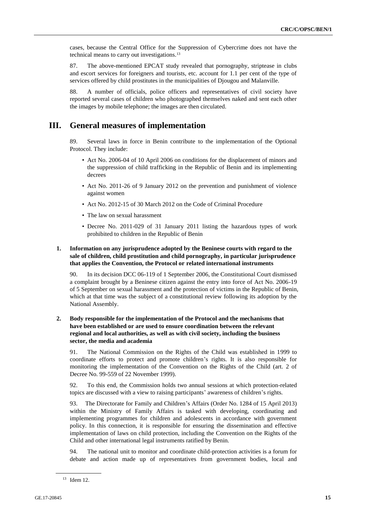cases, because the Central Office for the Suppression of Cybercrime does not have the technical means to carry out investigations.<sup>13</sup>

87. The above-mentioned EPCAT study revealed that pornography, striptease in clubs and escort services for foreigners and tourists, etc. account for 1.1 per cent of the type of services offered by child prostitutes in the municipalities of Djougou and Malanville.

88. A number of officials, police officers and representatives of civil society have reported several cases of children who photographed themselves naked and sent each other the images by mobile telephone; the images are then circulated.

# **III. General measures of implementation**

89. Several laws in force in Benin contribute to the implementation of the Optional Protocol. They include:

- Act No. 2006-04 of 10 April 2006 on conditions for the displacement of minors and the suppression of child trafficking in the Republic of Benin and its implementing decrees
- Act No. 2011-26 of 9 January 2012 on the prevention and punishment of violence against women
- Act No. 2012-15 of 30 March 2012 on the Code of Criminal Procedure
- The law on sexual harassment
- Decree No. 2011-029 of 31 January 2011 listing the hazardous types of work prohibited to children in the Republic of Benin

# **1. Information on any jurisprudence adopted by the Beninese courts with regard to the sale of children, child prostitution and child pornography, in particular jurisprudence that applies the Convention, the Protocol or related international instruments**

90. In its decision DCC 06-119 of 1 September 2006, the Constitutional Court dismissed a complaint brought by a Beninese citizen against the entry into force of Act No. 2006-19 of 5 September on sexual harassment and the protection of victims in the Republic of Benin, which at that time was the subject of a constitutional review following its adoption by the National Assembly.

# **2. Body responsible for the implementation of the Protocol and the mechanisms that have been established or are used to ensure coordination between the relevant regional and local authorities, as well as with civil society, including the business sector, the media and academia**

91. The National Commission on the Rights of the Child was established in 1999 to coordinate efforts to protect and promote children's rights. It is also responsible for monitoring the implementation of the Convention on the Rights of the Child (art. 2 of Decree No. 99-559 of 22 November 1999).

92. To this end, the Commission holds two annual sessions at which protection-related topics are discussed with a view to raising participants' awareness of children's rights.

93. The Directorate for Family and Children's Affairs (Order No. 1284 of 15 April 2013) within the Ministry of Family Affairs is tasked with developing, coordinating and implementing programmes for children and adolescents in accordance with government policy. In this connection, it is responsible for ensuring the dissemination and effective implementation of laws on child protection, including the Convention on the Rights of the Child and other international legal instruments ratified by Benin.

94. The national unit to monitor and coordinate child-protection activities is a forum for debate and action made up of representatives from government bodies, local and

<sup>13</sup> Idem 12.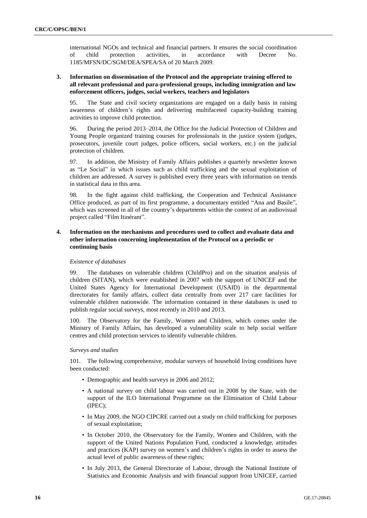international NGOs and technical and financial partners. It ensures the social coordination of child protection activities, in accordance with Decree No. 1185/MFSN/DC/SGM/DEA/SPEA/SA of 20 March 2009.

# **3. Information on dissemination of the Protocol and the appropriate training offered to all relevant professional and para-professional groups, including immigration and law enforcement officers, judges, social workers, teachers and legislators**

95. The State and civil society organizations are engaged on a daily basis in raising awareness of children's rights and delivering multifaceted capacity-building training activities to improve child protection.

96. During the period 2013–2014, the Office for the Judicial Protection of Children and Young People organized training courses for professionals in the justice system (judges, prosecutors, juvenile court judges, police officers, social workers, etc.) on the judicial protection of children.

97. In addition, the Ministry of Family Affairs publishes a quarterly newsletter known as "Le Social" in which issues such as child trafficking and the sexual exploitation of children are addressed. A survey is published every three years with information on trends in statistical data in this area.

98. In the fight against child trafficking, the Cooperation and Technical Assistance Office produced, as part of its first programme, a documentary entitled "Ana and Basile", which was screened in all of the country's departments within the context of an audiovisual project called "Film Itinérant".

# **4. Information on the mechanisms and procedures used to collect and evaluate data and other information concerning implementation of the Protocol on a periodic or continuing basis**

#### *Existence of databases*

99. The databases on vulnerable children (ChildPro) and on the situation analysis of children (SITAN), which were established in 2007 with the support of UNICEF and the United States Agency for International Development (USAID) in the departmental directorates for family affairs, collect data centrally from over 217 care facilities for vulnerable children nationwide. The information contained in these databases is used to publish regular social surveys, most recently in 2010 and 2013.

100. The Observatory for the Family, Women and Children, which comes under the Ministry of Family Affairs, has developed a vulnerability scale to help social welfare centres and child protection services to identify vulnerable children.

#### *Surveys and studies*

101. The following comprehensive, modular surveys of household living conditions have been conducted:

- Demographic and health surveys in 2006 and 2012;
- A national survey on child labour was carried out in 2008 by the State, with the support of the ILO International Programme on the Elimination of Child Labour (IPEC);
- In May 2009, the NGO CIPCRE carried out a study on child trafficking for purposes of sexual exploitation;
- In October 2010, the Observatory for the Family, Women and Children, with the support of the United Nations Population Fund, conducted a knowledge, attitudes and practices (KAP) survey on women's and children's rights in order to assess the actual level of public awareness of these rights;
- In July 2013, the General Directorate of Labour, through the National Institute of Statistics and Economic Analysis and with financial support from UNICEF, carried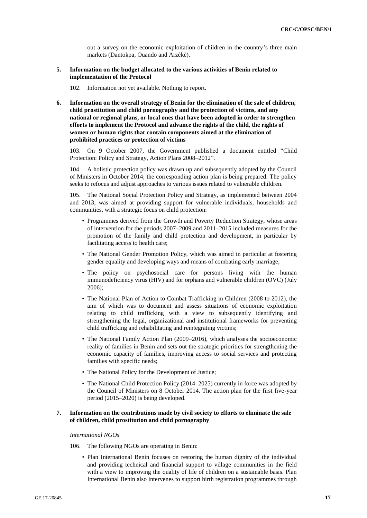out a survey on the economic exploitation of children in the country's three main markets (Dantokpa, Ouando and Arzèkè).

#### **5. Information on the budget allocated to the various activities of Benin related to implementation of the Protocol**

102. Information not yet available. Nothing to report.

**6. Information on the overall strategy of Benin for the elimination of the sale of children, child prostitution and child pornography and the protection of victims, and any national or regional plans, or local ones that have been adopted in order to strengthen efforts to implement the Protocol and advance the rights of the child, the rights of women or human rights that contain components aimed at the elimination of prohibited practices or protection of victims**

103. On 9 October 2007, the Government published a document entitled "Child Protection: Policy and Strategy, Action Plans 2008–2012".

104. A holistic protection policy was drawn up and subsequently adopted by the Council of Ministers in October 2014; the corresponding action plan is being prepared. The policy seeks to refocus and adjust approaches to various issues related to vulnerable children.

105. The National Social Protection Policy and Strategy, as implemented between 2004 and 2013, was aimed at providing support for vulnerable individuals, households and communities, with a strategic focus on child protection:

- Programmes derived from the Growth and Poverty Reduction Strategy, whose areas of intervention for the periods 2007–2009 and 2011–2015 included measures for the promotion of the family and child protection and development, in particular by facilitating access to health care;
- The National Gender Promotion Policy, which was aimed in particular at fostering gender equality and developing ways and means of combating early marriage;
- The policy on psychosocial care for persons living with the human immunodeficiency virus (HIV) and for orphans and vulnerable children (OVC) (July 2006);
- The National Plan of Action to Combat Trafficking in Children (2008 to 2012), the aim of which was to document and assess situations of economic exploitation relating to child trafficking with a view to subsequently identifying and strengthening the legal, organizational and institutional frameworks for preventing child trafficking and rehabilitating and reintegrating victims;
- The National Family Action Plan (2009–2016), which analyses the socioeconomic reality of families in Benin and sets out the strategic priorities for strengthening the economic capacity of families, improving access to social services and protecting families with specific needs;
- The National Policy for the Development of Justice;
- The National Child Protection Policy (2014–2025) currently in force was adopted by the Council of Ministers on 8 October 2014. The action plan for the first five-year period (2015–2020) is being developed.

# **7. Information on the contributions made by civil society to efforts to eliminate the sale of children, child prostitution and child pornography**

#### *International NGOs*

- 106. The following NGOs are operating in Benin:
	- Plan International Benin focuses on restoring the human dignity of the individual and providing technical and financial support to village communities in the field with a view to improving the quality of life of children on a sustainable basis. Plan International Benin also intervenes to support birth registration programmes through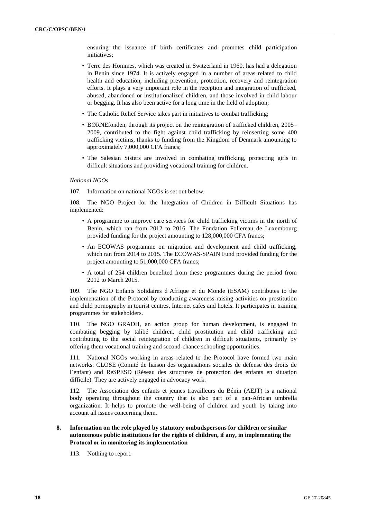ensuring the issuance of birth certificates and promotes child participation initiatives;

- Terre des Hommes, which was created in Switzerland in 1960, has had a delegation in Benin since 1974. It is actively engaged in a number of areas related to child health and education, including prevention, protection, recovery and reintegration efforts. It plays a very important role in the reception and integration of trafficked, abused, abandoned or institutionalized children, and those involved in child labour or begging. It has also been active for a long time in the field of adoption;
- The Catholic Relief Service takes part in initiatives to combat trafficking;
- BØRNEfonden, through its project on the reintegration of trafficked children, 2005– 2009, contributed to the fight against child trafficking by reinserting some 400 trafficking victims, thanks to funding from the Kingdom of Denmark amounting to approximately 7,000,000 CFA francs;
- The Salesian Sisters are involved in combating trafficking, protecting girls in difficult situations and providing vocational training for children.

#### *National NGOs*

107. Information on national NGOs is set out below.

108. The NGO Project for the Integration of Children in Difficult Situations has implemented:

- A programme to improve care services for child trafficking victims in the north of Benin, which ran from 2012 to 2016. The Fondation Follereau de Luxembourg provided funding for the project amounting to 128,000,000 CFA francs;
- An ECOWAS programme on migration and development and child trafficking, which ran from 2014 to 2015. The ECOWAS-SPAIN Fund provided funding for the project amounting to 51,000,000 CFA francs;
- A total of 254 children benefited from these programmes during the period from 2012 to March 2015.

109. The NGO Enfants Solidaires d'Afrique et du Monde (ESAM) contributes to the implementation of the Protocol by conducting awareness-raising activities on prostitution and child pornography in tourist centres, Internet cafes and hotels. It participates in training programmes for stakeholders.

110. The NGO GRADH, an action group for human development, is engaged in combating begging by talibé children, child prostitution and child trafficking and contributing to the social reintegration of children in difficult situations, primarily by offering them vocational training and second-chance schooling opportunities.

111. National NGOs working in areas related to the Protocol have formed two main networks: CLOSE (Comité de liaison des organisations sociales de défense des droits de l'enfant) and ReSPESD (Réseau des structures de protection des enfants en situation difficile). They are actively engaged in advocacy work.

112. The Association des enfants et jeunes travailleurs du Bénin (AEJT) is a national body operating throughout the country that is also part of a pan-African umbrella organization. It helps to promote the well-being of children and youth by taking into account all issues concerning them.

**8. Information on the role played by statutory ombudspersons for children or similar autonomous public institutions for the rights of children, if any, in implementing the Protocol or in monitoring its implementation**

113. Nothing to report.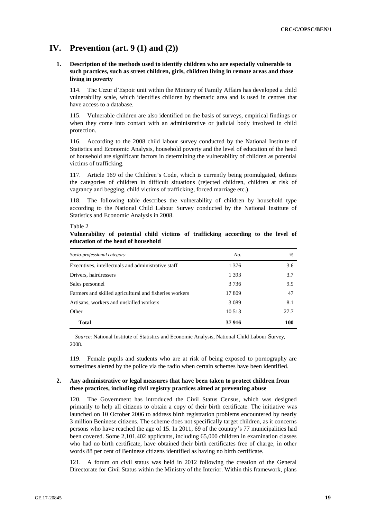# **IV. Prevention (art. 9 (1) and (2))**

# **1. Description of the methods used to identify children who are especially vulnerable to such practices, such as street children, girls, children living in remote areas and those living in poverty**

114. The Cœur d'Espoir unit within the Ministry of Family Affairs has developed a child vulnerability scale, which identifies children by thematic area and is used in centres that have access to a database.

115. Vulnerable children are also identified on the basis of surveys, empirical findings or when they come into contact with an administrative or judicial body involved in child protection.

116. According to the 2008 child labour survey conducted by the National Institute of Statistics and Economic Analysis, household poverty and the level of education of the head of household are significant factors in determining the vulnerability of children as potential victims of trafficking.

117. Article 169 of the Children's Code, which is currently being promulgated, defines the categories of children in difficult situations (rejected children, children at risk of vagrancy and begging, child victims of trafficking, forced marriage etc.).

118. The following table describes the vulnerability of children by household type according to the National Child Labour Survey conducted by the National Institute of Statistics and Economic Analysis in 2008.

#### Table 2

**Vulnerability of potential child victims of trafficking according to the level of education of the head of household**

| Socio-professional category                            | No.     | $\%$ |
|--------------------------------------------------------|---------|------|
| Executives, intellectuals and administrative staff     | 1 3 7 6 | 3.6  |
| Drivers, hairdressers                                  | 1 3 9 3 | 3.7  |
| Sales personnel                                        | 3 7 3 6 | 9.9  |
| Farmers and skilled agricultural and fisheries workers | 17 809  | 47   |
| Artisans, workers and unskilled workers                | 3 0 8 9 | 8.1  |
| Other                                                  | 10 5 13 | 27.7 |
| <b>Total</b>                                           | 37916   | 100  |

*Source*: National Institute of Statistics and Economic Analysis, National Child Labour Survey, 2008.

119. Female pupils and students who are at risk of being exposed to pornography are sometimes alerted by the police via the radio when certain schemes have been identified.

### **2. Any administrative or legal measures that have been taken to protect children from these practices, including civil registry practices aimed at preventing abuse**

120. The Government has introduced the Civil Status Census, which was designed primarily to help all citizens to obtain a copy of their birth certificate. The initiative was launched on 10 October 2006 to address birth registration problems encountered by nearly 3 million Beninese citizens. The scheme does not specifically target children, as it concerns persons who have reached the age of 15. In 2011, 69 of the country's 77 municipalities had been covered. Some 2,101,402 applicants, including 65,000 children in examination classes who had no birth certificate, have obtained their birth certificates free of charge, in other words 88 per cent of Beninese citizens identified as having no birth certificate.

121. A forum on civil status was held in 2012 following the creation of the General Directorate for Civil Status within the Ministry of the Interior. Within this framework, plans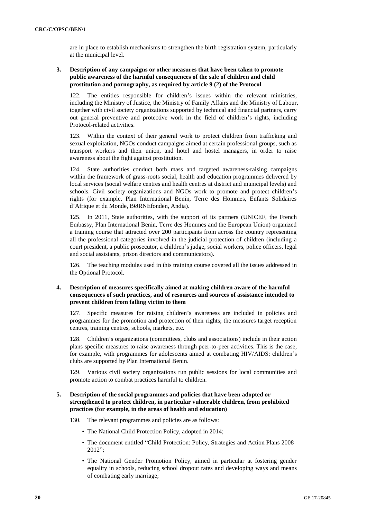are in place to establish mechanisms to strengthen the birth registration system, particularly at the municipal level.

# **3. Description of any campaigns or other measures that have been taken to promote public awareness of the harmful consequences of the sale of children and child prostitution and pornography, as required by article 9 (2) of the Protocol**

122. The entities responsible for children's issues within the relevant ministries, including the Ministry of Justice, the Ministry of Family Affairs and the Ministry of Labour, together with civil society organizations supported by technical and financial partners, carry out general preventive and protective work in the field of children's rights, including Protocol-related activities.

123. Within the context of their general work to protect children from trafficking and sexual exploitation, NGOs conduct campaigns aimed at certain professional groups, such as transport workers and their union, and hotel and hostel managers, in order to raise awareness about the fight against prostitution.

124. State authorities conduct both mass and targeted awareness-raising campaigns within the framework of grass-roots social, health and education programmes delivered by local services (social welfare centres and health centres at district and municipal levels) and schools. Civil society organizations and NGOs work to promote and protect children's rights (for example, Plan International Benin, Terre des Hommes, Enfants Solidaires d'Afrique et du Monde, BØRNEfonden, Andia).

125. In 2011, State authorities, with the support of its partners (UNICEF, the French Embassy, Plan International Benin, Terre des Hommes and the European Union) organized a training course that attracted over 200 participants from across the country representing all the professional categories involved in the judicial protection of children (including a court president, a public prosecutor, a children's judge, social workers, police officers, legal and social assistants, prison directors and communicators).

126. The teaching modules used in this training course covered all the issues addressed in the Optional Protocol.

# **4. Description of measures specifically aimed at making children aware of the harmful consequences of such practices, and of resources and sources of assistance intended to prevent children from falling victim to them**

127. Specific measures for raising children's awareness are included in policies and programmes for the promotion and protection of their rights; the measures target reception centres, training centres, schools, markets, etc.

128. Children's organizations (committees, clubs and associations) include in their action plans specific measures to raise awareness through peer-to-peer activities. This is the case, for example, with programmes for adolescents aimed at combating HIV/AIDS; children's clubs are supported by Plan International Benin.

129. Various civil society organizations run public sessions for local communities and promote action to combat practices harmful to children.

# **5. Description of the social programmes and policies that have been adopted or strengthened to protect children, in particular vulnerable children, from prohibited practices (for example, in the areas of health and education)**

130. The relevant programmes and policies are as follows:

- The National Child Protection Policy, adopted in 2014;
- The document entitled "Child Protection: Policy, Strategies and Action Plans 2008– 2012";
- The National Gender Promotion Policy, aimed in particular at fostering gender equality in schools, reducing school dropout rates and developing ways and means of combating early marriage;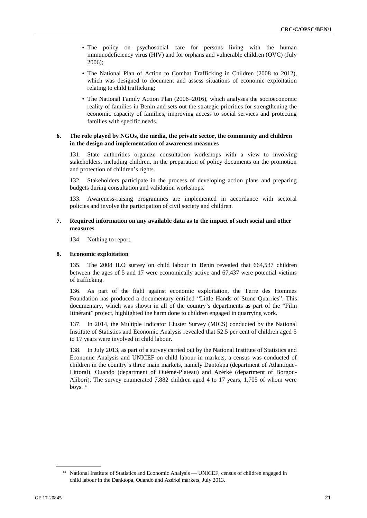- The policy on psychosocial care for persons living with the human immunodeficiency virus (HIV) and for orphans and vulnerable children (OVC) (July 2006);
- The National Plan of Action to Combat Trafficking in Children (2008 to 2012), which was designed to document and assess situations of economic exploitation relating to child trafficking;
- The National Family Action Plan (2006–2016), which analyses the socioeconomic reality of families in Benin and sets out the strategic priorities for strengthening the economic capacity of families, improving access to social services and protecting families with specific needs.

### **6. The role played by NGOs, the media, the private sector, the community and children in the design and implementation of awareness measures**

131. State authorities organize consultation workshops with a view to involving stakeholders, including children, in the preparation of policy documents on the promotion and protection of children's rights.

132. Stakeholders participate in the process of developing action plans and preparing budgets during consultation and validation workshops.

133. Awareness-raising programmes are implemented in accordance with sectoral policies and involve the participation of civil society and children.

## **7. Required information on any available data as to the impact of such social and other measures**

134. Nothing to report.

### **8. Economic exploitation**

135. The 2008 ILO survey on child labour in Benin revealed that 664,537 children between the ages of 5 and 17 were economically active and 67,437 were potential victims of trafficking.

136. As part of the fight against economic exploitation, the Terre des Hommes Foundation has produced a documentary entitled "Little Hands of Stone Quarries". This documentary, which was shown in all of the country's departments as part of the "Film Itinérant" project, highlighted the harm done to children engaged in quarrying work.

137. In 2014, the Multiple Indicator Cluster Survey (MICS) conducted by the National Institute of Statistics and Economic Analysis revealed that 52.5 per cent of children aged 5 to 17 years were involved in child labour.

138. In July 2013, as part of a survey carried out by the National Institute of Statistics and Economic Analysis and UNICEF on child labour in markets, a census was conducted of children in the country's three main markets, namely Dantokpa (department of Atlantique-Littoral), Ouando (department of Ouémé-Plateau) and Azèrkè (department of Borgou-Alibori). The survey enumerated 7,882 children aged 4 to 17 years, 1,705 of whom were boys.<sup>14</sup>

<sup>&</sup>lt;sup>14</sup> National Institute of Statistics and Economic Analysis — UNICEF, census of children engaged in child labour in the Danktopa, Ouando and Azèrkè markets, July 2013.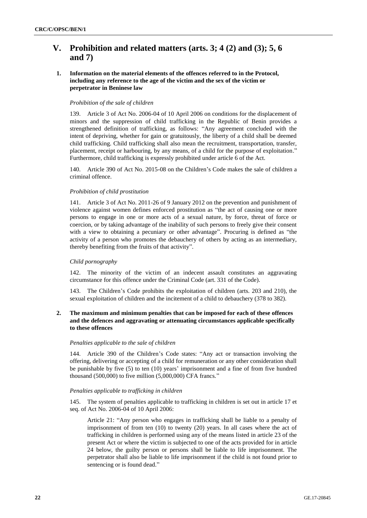# **V. Prohibition and related matters (arts. 3; 4 (2) and (3); 5, 6 and 7)**

# **1. Information on the material elements of the offences referred to in the Protocol, including any reference to the age of the victim and the sex of the victim or perpetrator in Beninese law**

## *Prohibition of the sale of children*

139. Article 3 of Act No. 2006-04 of 10 April 2006 on conditions for the displacement of minors and the suppression of child trafficking in the Republic of Benin provides a strengthened definition of trafficking, as follows: "Any agreement concluded with the intent of depriving, whether for gain or gratuitously, the liberty of a child shall be deemed child trafficking. Child trafficking shall also mean the recruitment, transportation, transfer, placement, receipt or harbouring, by any means, of a child for the purpose of exploitation." Furthermore, child trafficking is expressly prohibited under article 6 of the Act.

140. Article 390 of Act No. 2015-08 on the Children's Code makes the sale of children a criminal offence.

### *Prohibition of child prostitution*

141. Article 3 of Act No. 2011-26 of 9 January 2012 on the prevention and punishment of violence against women defines enforced prostitution as "the act of causing one or more persons to engage in one or more acts of a sexual nature, by force, threat of force or coercion, or by taking advantage of the inability of such persons to freely give their consent with a view to obtaining a pecuniary or other advantage". Procuring is defined as "the activity of a person who promotes the debauchery of others by acting as an intermediary, thereby benefiting from the fruits of that activity".

## *Child pornography*

142. The minority of the victim of an indecent assault constitutes an aggravating circumstance for this offence under the Criminal Code (art. 331 of the Code).

143. The Children's Code prohibits the exploitation of children (arts. 203 and 210), the sexual exploitation of children and the incitement of a child to debauchery (378 to 382).

# **2. The maximum and minimum penalties that can be imposed for each of these offences and the defences and aggravating or attenuating circumstances applicable specifically to these offences**

#### *Penalties applicable to the sale of children*

144. Article 390 of the Children's Code states: "Any act or transaction involving the offering, delivering or accepting of a child for remuneration or any other consideration shall be punishable by five (5) to ten (10) years' imprisonment and a fine of from five hundred thousand (500,000) to five million (5,000,000) CFA francs."

#### *Penalties applicable to trafficking in children*

145. The system of penalties applicable to trafficking in children is set out in article 17 et seq. of Act No. 2006-04 of 10 April 2006:

Article 21: "Any person who engages in trafficking shall be liable to a penalty of imprisonment of from ten (10) to twenty (20) years. In all cases where the act of trafficking in children is performed using any of the means listed in article 23 of the present Act or where the victim is subjected to one of the acts provided for in article 24 below, the guilty person or persons shall be liable to life imprisonment. The perpetrator shall also be liable to life imprisonment if the child is not found prior to sentencing or is found dead."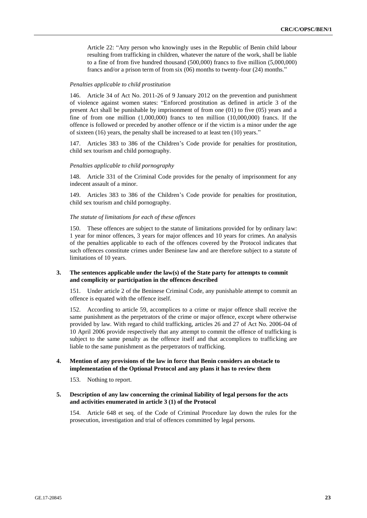Article 22: "Any person who knowingly uses in the Republic of Benin child labour resulting from trafficking in children, whatever the nature of the work, shall be liable to a fine of from five hundred thousand (500,000) francs to five million (5,000,000) francs and/or a prison term of from six (06) months to twenty-four (24) months."

#### *Penalties applicable to child prostitution*

146. Article 34 of Act No. 2011-26 of 9 January 2012 on the prevention and punishment of violence against women states: "Enforced prostitution as defined in article 3 of the present Act shall be punishable by imprisonment of from one (01) to five (05) years and a fine of from one million (1,000,000) francs to ten million (10,000,000) francs. If the offence is followed or preceded by another offence or if the victim is a minor under the age of sixteen (16) years, the penalty shall be increased to at least ten (10) years."

147. Articles 383 to 386 of the Children's Code provide for penalties for prostitution, child sex tourism and child pornography.

#### *Penalties applicable to child pornography*

148. Article 331 of the Criminal Code provides for the penalty of imprisonment for any indecent assault of a minor.

149. Articles 383 to 386 of the Children's Code provide for penalties for prostitution, child sex tourism and child pornography.

#### *The statute of limitations for each of these offences*

150. These offences are subject to the statute of limitations provided for by ordinary law: 1 year for minor offences, 3 years for major offences and 10 years for crimes. An analysis of the penalties applicable to each of the offences covered by the Protocol indicates that such offences constitute crimes under Beninese law and are therefore subject to a statute of limitations of 10 years.

### **3. The sentences applicable under the law(s) of the State party for attempts to commit and complicity or participation in the offences described**

151. Under article 2 of the Beninese Criminal Code, any punishable attempt to commit an offence is equated with the offence itself.

152. According to article 59, accomplices to a crime or major offence shall receive the same punishment as the perpetrators of the crime or major offence, except where otherwise provided by law. With regard to child trafficking, articles 26 and 27 of Act No. 2006-04 of 10 April 2006 provide respectively that any attempt to commit the offence of trafficking is subject to the same penalty as the offence itself and that accomplices to trafficking are liable to the same punishment as the perpetrators of trafficking.

# **4. Mention of any provisions of the law in force that Benin considers an obstacle to implementation of the Optional Protocol and any plans it has to review them**

153. Nothing to report.

#### **5. Description of any law concerning the criminal liability of legal persons for the acts and activities enumerated in article 3 (1) of the Protocol**

154. Article 648 et seq. of the Code of Criminal Procedure lay down the rules for the prosecution, investigation and trial of offences committed by legal persons.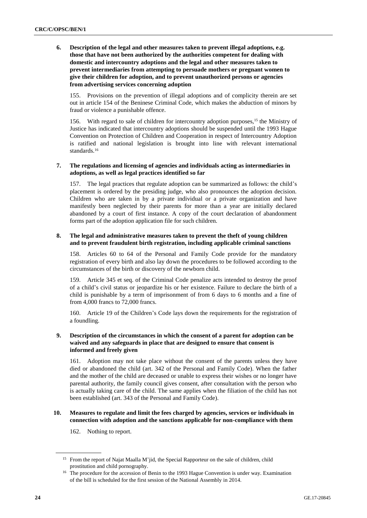**6. Description of the legal and other measures taken to prevent illegal adoptions, e.g. those that have not been authorized by the authorities competent for dealing with domestic and intercountry adoptions and the legal and other measures taken to prevent intermediaries from attempting to persuade mothers or pregnant women to give their children for adoption, and to prevent unauthorized persons or agencies from advertising services concerning adoption**

155. Provisions on the prevention of illegal adoptions and of complicity therein are set out in article 154 of the Beninese Criminal Code, which makes the abduction of minors by fraud or violence a punishable offence.

156. With regard to sale of children for intercountry adoption purposes,<sup>15</sup> the Ministry of Justice has indicated that intercountry adoptions should be suspended until the 1993 Hague Convention on Protection of Children and Cooperation in respect of Intercountry Adoption is ratified and national legislation is brought into line with relevant international standards.<sup>16</sup>

# **7. The regulations and licensing of agencies and individuals acting as intermediaries in adoptions, as well as legal practices identified so far**

157. The legal practices that regulate adoption can be summarized as follows: the child's placement is ordered by the presiding judge, who also pronounces the adoption decision. Children who are taken in by a private individual or a private organization and have manifestly been neglected by their parents for more than a year are initially declared abandoned by a court of first instance. A copy of the court declaration of abandonment forms part of the adoption application file for such children.

## **8. The legal and administrative measures taken to prevent the theft of young children and to prevent fraudulent birth registration, including applicable criminal sanctions**

158. Articles 60 to 64 of the Personal and Family Code provide for the mandatory registration of every birth and also lay down the procedures to be followed according to the circumstances of the birth or discovery of the newborn child.

159. Article 345 et seq. of the Criminal Code penalize acts intended to destroy the proof of a child's civil status or jeopardize his or her existence. Failure to declare the birth of a child is punishable by a term of imprisonment of from 6 days to 6 months and a fine of from 4,000 francs to 72,000 francs.

160. Article 19 of the Children's Code lays down the requirements for the registration of a foundling.

# **9. Description of the circumstances in which the consent of a parent for adoption can be waived and any safeguards in place that are designed to ensure that consent is informed and freely given**

161. Adoption may not take place without the consent of the parents unless they have died or abandoned the child (art. 342 of the Personal and Family Code). When the father and the mother of the child are deceased or unable to express their wishes or no longer have parental authority, the family council gives consent, after consultation with the person who is actually taking care of the child. The same applies when the filiation of the child has not been established (art. 343 of the Personal and Family Code).

# **10. Measures to regulate and limit the fees charged by agencies, services or individuals in connection with adoption and the sanctions applicable for non-compliance with them**

162. Nothing to report.

<sup>&</sup>lt;sup>15</sup> From the report of Najat Maalla M'jid, the Special Rapporteur on the sale of children, child prostitution and child pornography.

<sup>&</sup>lt;sup>16</sup> The procedure for the accession of Benin to the 1993 Hague Convention is under way. Examination of the bill is scheduled for the first session of the National Assembly in 2014.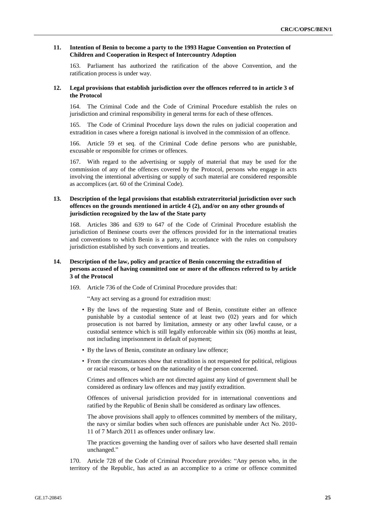#### **11. Intention of Benin to become a party to the 1993 Hague Convention on Protection of Children and Cooperation in Respect of Intercountry Adoption**

163. Parliament has authorized the ratification of the above Convention, and the ratification process is under way.

#### **12. Legal provisions that establish jurisdiction over the offences referred to in article 3 of the Protocol**

164. The Criminal Code and the Code of Criminal Procedure establish the rules on jurisdiction and criminal responsibility in general terms for each of these offences.

165. The Code of Criminal Procedure lays down the rules on judicial cooperation and extradition in cases where a foreign national is involved in the commission of an offence.

166. Article 59 et seq. of the Criminal Code define persons who are punishable, excusable or responsible for crimes or offences.

167. With regard to the advertising or supply of material that may be used for the commission of any of the offences covered by the Protocol, persons who engage in acts involving the intentional advertising or supply of such material are considered responsible as accomplices (art. 60 of the Criminal Code).

# **13. Description of the legal provisions that establish extraterritorial jurisdiction over such offences on the grounds mentioned in article 4 (2), and/or on any other grounds of jurisdiction recognized by the law of the State party**

168. Articles 386 and 639 to 647 of the Code of Criminal Procedure establish the jurisdiction of Beninese courts over the offences provided for in the international treaties and conventions to which Benin is a party, in accordance with the rules on compulsory jurisdiction established by such conventions and treaties.

# **14. Description of the law, policy and practice of Benin concerning the extradition of persons accused of having committed one or more of the offences referred to by article 3 of the Protocol**

169. Article 736 of the Code of Criminal Procedure provides that:

"Any act serving as a ground for extradition must:

- By the laws of the requesting State and of Benin, constitute either an offence punishable by a custodial sentence of at least two (02) years and for which prosecution is not barred by limitation, amnesty or any other lawful cause, or a custodial sentence which is still legally enforceable within six (06) months at least, not including imprisonment in default of payment;
- By the laws of Benin, constitute an ordinary law offence;
- From the circumstances show that extradition is not requested for political, religious or racial reasons, or based on the nationality of the person concerned.

Crimes and offences which are not directed against any kind of government shall be considered as ordinary law offences and may justify extradition.

Offences of universal jurisdiction provided for in international conventions and ratified by the Republic of Benin shall be considered as ordinary law offences.

The above provisions shall apply to offences committed by members of the military, the navy or similar bodies when such offences are punishable under Act No. 2010- 11 of 7 March 2011 as offences under ordinary law.

The practices governing the handing over of sailors who have deserted shall remain unchanged."

170. Article 728 of the Code of Criminal Procedure provides: "Any person who, in the territory of the Republic, has acted as an accomplice to a crime or offence committed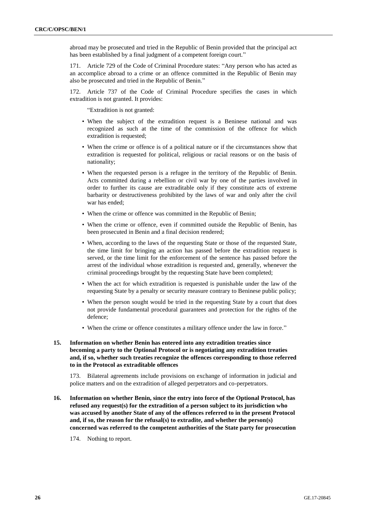abroad may be prosecuted and tried in the Republic of Benin provided that the principal act has been established by a final judgment of a competent foreign court."

171. Article 729 of the Code of Criminal Procedure states: "Any person who has acted as an accomplice abroad to a crime or an offence committed in the Republic of Benin may also be prosecuted and tried in the Republic of Benin."

Article 737 of the Code of Criminal Procedure specifies the cases in which extradition is not granted. It provides:

"Extradition is not granted:

- When the subject of the extradition request is a Beninese national and was recognized as such at the time of the commission of the offence for which extradition is requested;
- When the crime or offence is of a political nature or if the circumstances show that extradition is requested for political, religious or racial reasons or on the basis of nationality;
- When the requested person is a refugee in the territory of the Republic of Benin. Acts committed during a rebellion or civil war by one of the parties involved in order to further its cause are extraditable only if they constitute acts of extreme barbarity or destructiveness prohibited by the laws of war and only after the civil war has ended;
- When the crime or offence was committed in the Republic of Benin;
- When the crime or offence, even if committed outside the Republic of Benin, has been prosecuted in Benin and a final decision rendered;
- When, according to the laws of the requesting State or those of the requested State, the time limit for bringing an action has passed before the extradition request is served, or the time limit for the enforcement of the sentence has passed before the arrest of the individual whose extradition is requested and, generally, whenever the criminal proceedings brought by the requesting State have been completed;
- When the act for which extradition is requested is punishable under the law of the requesting State by a penalty or security measure contrary to Beninese public policy;
- When the person sought would be tried in the requesting State by a court that does not provide fundamental procedural guarantees and protection for the rights of the defence;
- When the crime or offence constitutes a military offence under the law in force."

# **15. Information on whether Benin has entered into any extradition treaties since becoming a party to the Optional Protocol or is negotiating any extradition treaties and, if so, whether such treaties recognize the offences corresponding to those referred to in the Protocol as extraditable offences**

173. Bilateral agreements include provisions on exchange of information in judicial and police matters and on the extradition of alleged perpetrators and co-perpetrators.

- **16. Information on whether Benin, since the entry into force of the Optional Protocol, has refused any request(s) for the extradition of a person subject to its jurisdiction who was accused by another State of any of the offences referred to in the present Protocol and, if so, the reason for the refusal(s) to extradite, and whether the person(s) concerned was referred to the competent authorities of the State party for prosecution**
	- 174. Nothing to report.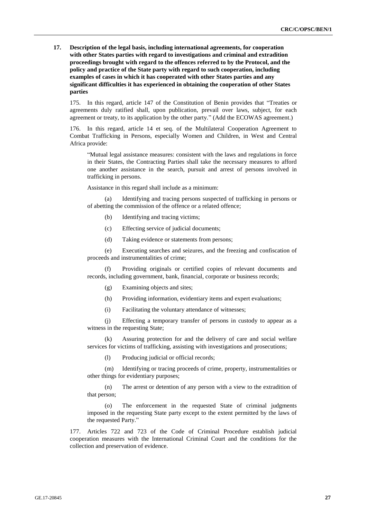**17. Description of the legal basis, including international agreements, for cooperation with other States parties with regard to investigations and criminal and extradition proceedings brought with regard to the offences referred to by the Protocol, and the policy and practice of the State party with regard to such cooperation, including examples of cases in which it has cooperated with other States parties and any significant difficulties it has experienced in obtaining the cooperation of other States parties**

175. In this regard, article 147 of the Constitution of Benin provides that "Treaties or agreements duly ratified shall, upon publication, prevail over laws, subject, for each agreement or treaty, to its application by the other party." (Add the ECOWAS agreement.)

176. In this regard, article 14 et seq. of the Multilateral Cooperation Agreement to Combat Trafficking in Persons, especially Women and Children, in West and Central Africa provide:

"Mutual legal assistance measures: consistent with the laws and regulations in force in their States, the Contracting Parties shall take the necessary measures to afford one another assistance in the search, pursuit and arrest of persons involved in trafficking in persons.

Assistance in this regard shall include as a minimum:

(a) Identifying and tracing persons suspected of trafficking in persons or of abetting the commission of the offence or a related offence;

- (b) Identifying and tracing victims;
- (c) Effecting service of judicial documents;
- (d) Taking evidence or statements from persons;

(e) Executing searches and seizures, and the freezing and confiscation of proceeds and instrumentalities of crime;

(f) Providing originals or certified copies of relevant documents and records, including government, bank, financial, corporate or business records;

- (g) Examining objects and sites;
- (h) Providing information, evidentiary items and expert evaluations;
- (i) Facilitating the voluntary attendance of witnesses;

(j) Effecting a temporary transfer of persons in custody to appear as a witness in the requesting State;

(k) Assuring protection for and the delivery of care and social welfare services for victims of trafficking, assisting with investigations and prosecutions;

(l) Producing judicial or official records;

(m) Identifying or tracing proceeds of crime, property, instrumentalities or other things for evidentiary purposes;

(n) The arrest or detention of any person with a view to the extradition of that person;

(o) The enforcement in the requested State of criminal judgments imposed in the requesting State party except to the extent permitted by the laws of the requested Party."

177. Articles 722 and 723 of the Code of Criminal Procedure establish judicial cooperation measures with the International Criminal Court and the conditions for the collection and preservation of evidence.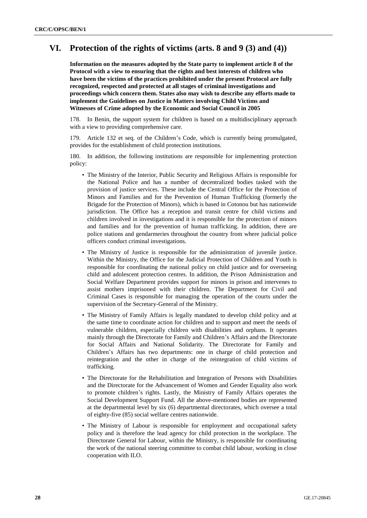# **VI. Protection of the rights of victims (arts. 8 and 9 (3) and (4))**

**Information on the measures adopted by the State party to implement article 8 of the Protocol with a view to ensuring that the rights and best interests of children who have been the victims of the practices prohibited under the present Protocol are fully recognized, respected and protected at all stages of criminal investigations and proceedings which concern them. States also may wish to describe any efforts made to implement the Guidelines on Justice in Matters involving Child Victims and Witnesses of Crime adopted by the Economic and Social Council in 2005**

178. In Benin, the support system for children is based on a multidisciplinary approach with a view to providing comprehensive care.

Article 132 et seq. of the Children's Code, which is currently being promulgated, provides for the establishment of child protection institutions.

180. In addition, the following institutions are responsible for implementing protection policy:

- The Ministry of the Interior, Public Security and Religious Affairs is responsible for the National Police and has a number of decentralized bodies tasked with the provision of justice services. These include the Central Office for the Protection of Minors and Families and for the Prevention of Human Trafficking (formerly the Brigade for the Protection of Minors), which is based in Cotonou but has nationwide jurisdiction. The Office has a reception and transit centre for child victims and children involved in investigations and it is responsible for the protection of minors and families and for the prevention of human trafficking. In addition, there are police stations and gendarmeries throughout the country from where judicial police officers conduct criminal investigations.
- The Ministry of Justice is responsible for the administration of juvenile justice. Within the Ministry, the Office for the Judicial Protection of Children and Youth is responsible for coordinating the national policy on child justice and for overseeing child and adolescent protection centres. In addition, the Prison Administration and Social Welfare Department provides support for minors in prison and intervenes to assist mothers imprisoned with their children. The Department for Civil and Criminal Cases is responsible for managing the operation of the courts under the supervision of the Secretary-General of the Ministry.
- The Ministry of Family Affairs is legally mandated to develop child policy and at the same time to coordinate action for children and to support and meet the needs of vulnerable children, especially children with disabilities and orphans. It operates mainly through the Directorate for Family and Children's Affairs and the Directorate for Social Affairs and National Solidarity. The Directorate for Family and Children's Affairs has two departments: one in charge of child protection and reintegration and the other in charge of the reintegration of child victims of trafficking.
- The Directorate for the Rehabilitation and Integration of Persons with Disabilities and the Directorate for the Advancement of Women and Gender Equality also work to promote children's rights. Lastly, the Ministry of Family Affairs operates the Social Development Support Fund. All the above-mentioned bodies are represented at the departmental level by six (6) departmental directorates, which oversee a total of eighty-five (85) social welfare centres nationwide.
- The Ministry of Labour is responsible for employment and occupational safety policy and is therefore the lead agency for child protection in the workplace. The Directorate General for Labour, within the Ministry, is responsible for coordinating the work of the national steering committee to combat child labour, working in close cooperation with ILO.